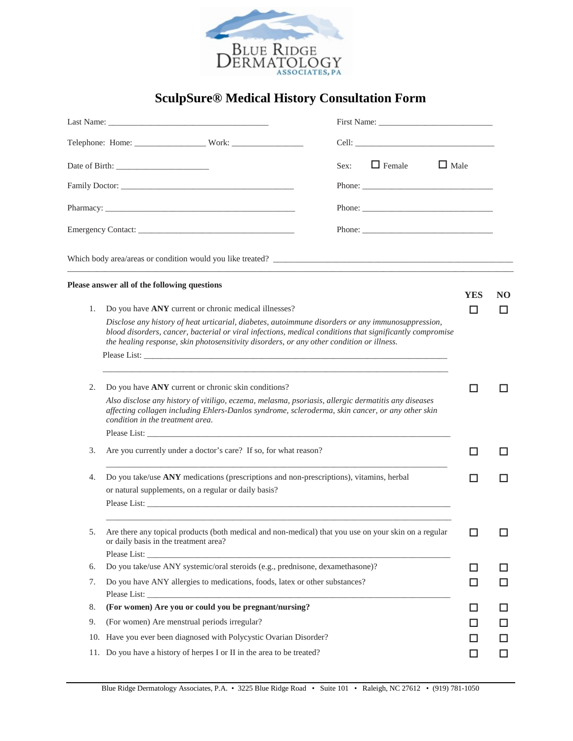

## **SculpSure® Medical History Consultation Form**

|     |                                                                                                                                                                                                                                                                                                            | First Name:                                                                                                                                                                                                                    |          |          |
|-----|------------------------------------------------------------------------------------------------------------------------------------------------------------------------------------------------------------------------------------------------------------------------------------------------------------|--------------------------------------------------------------------------------------------------------------------------------------------------------------------------------------------------------------------------------|----------|----------|
|     |                                                                                                                                                                                                                                                                                                            |                                                                                                                                                                                                                                |          |          |
|     |                                                                                                                                                                                                                                                                                                            | $\Box$ Female<br>$\Box$ Male<br>Sex:                                                                                                                                                                                           |          |          |
|     |                                                                                                                                                                                                                                                                                                            |                                                                                                                                                                                                                                |          |          |
|     |                                                                                                                                                                                                                                                                                                            |                                                                                                                                                                                                                                |          |          |
|     |                                                                                                                                                                                                                                                                                                            | Phone: New York and the state of the state of the state of the state of the state of the state of the state of the state of the state of the state of the state of the state of the state of the state of the state of the sta |          |          |
|     |                                                                                                                                                                                                                                                                                                            |                                                                                                                                                                                                                                |          |          |
|     | <u> 1989 - Johann John Harry, mars ar yw i gwraig yn y ganleithiau yn y gwraig y ganleithiau yn y gwraig y ganlei</u><br>Please answer all of the following questions                                                                                                                                      |                                                                                                                                                                                                                                |          |          |
| 1.  | Do you have ANY current or chronic medical illnesses?                                                                                                                                                                                                                                                      |                                                                                                                                                                                                                                | YES<br>П | NO<br>ΙI |
|     | Disclose any history of heat urticarial, diabetes, autoimmune disorders or any immunosuppression,<br>blood disorders, cancer, bacterial or viral infections, medical conditions that significantly compromise<br>the healing response, skin photosensitivity disorders, or any other condition or illness. |                                                                                                                                                                                                                                |          |          |
|     |                                                                                                                                                                                                                                                                                                            |                                                                                                                                                                                                                                |          |          |
| 2.  | Do you have ANY current or chronic skin conditions?                                                                                                                                                                                                                                                        |                                                                                                                                                                                                                                | H        | H        |
|     | Also disclose any history of vitiligo, eczema, melasma, psoriasis, allergic dermatitis any diseases<br>affecting collagen including Ehlers-Danlos syndrome, scleroderma, skin cancer, or any other skin<br>condition in the treatment area.                                                                |                                                                                                                                                                                                                                |          |          |
|     |                                                                                                                                                                                                                                                                                                            |                                                                                                                                                                                                                                |          |          |
| 3.  | Are you currently under a doctor's care? If so, for what reason?                                                                                                                                                                                                                                           |                                                                                                                                                                                                                                | П        |          |
| 4.  | Do you take/use ANY medications (prescriptions and non-prescriptions), vitamins, herbal<br>or natural supplements, on a regular or daily basis?                                                                                                                                                            |                                                                                                                                                                                                                                | П        | H        |
|     |                                                                                                                                                                                                                                                                                                            |                                                                                                                                                                                                                                |          |          |
| 5.  | Are there any topical products (both medical and non-medical) that you use on your skin on a regular<br>or daily basis in the treatment area?                                                                                                                                                              |                                                                                                                                                                                                                                |          |          |
|     |                                                                                                                                                                                                                                                                                                            |                                                                                                                                                                                                                                |          |          |
| 6.  | Do you take/use ANY systemic/oral steroids (e.g., prednisone, dexamethasone)?                                                                                                                                                                                                                              |                                                                                                                                                                                                                                | ப        | ΙI       |
| 7.  | Do you have ANY allergies to medications, foods, latex or other substances?                                                                                                                                                                                                                                |                                                                                                                                                                                                                                | ப        | ⊔        |
| 8.  | (For women) Are you or could you be pregnant/nursing?                                                                                                                                                                                                                                                      |                                                                                                                                                                                                                                |          | ப        |
| 9.  | (For women) Are menstrual periods irregular?                                                                                                                                                                                                                                                               |                                                                                                                                                                                                                                | H        | ΙI       |
| 10. | Have you ever been diagnosed with Polycystic Ovarian Disorder?                                                                                                                                                                                                                                             |                                                                                                                                                                                                                                |          | ΙI       |
| 11. | Do you have a history of herpes I or II in the area to be treated?                                                                                                                                                                                                                                         |                                                                                                                                                                                                                                | H        | ΙI       |